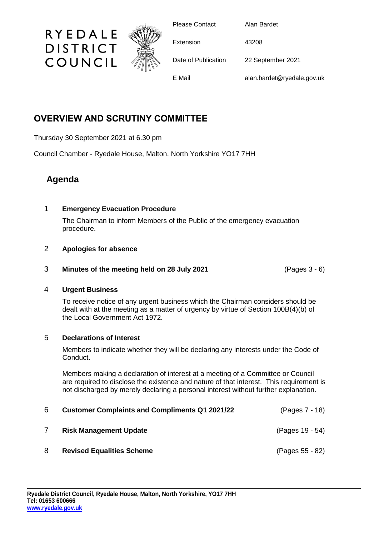

Please Contact Alan Bardet

Extension 43208

Date of Publication 22 September 2021

E Mail alan.bardet@ryedale.gov.uk

# **OVERVIEW AND SCRUTINY COMMITTEE**

Thursday 30 September 2021 at 6.30 pm

RYEDALE

**DISTRICT** 

COUNCIL

Council Chamber - Ryedale House, Malton, North Yorkshire YO17 7HH

# **Agenda**

## 1 **Emergency Evacuation Procedure**

The Chairman to inform Members of the Public of the emergency evacuation procedure.

### 2 **Apologies for absence**

3 **Minutes of the meeting held on 28 July 2021** (Pages 3 - 6)

### 4 **Urgent Business**

To receive notice of any urgent business which the Chairman considers should be dealt with at the meeting as a matter of urgency by virtue of Section 100B(4)(b) of the Local Government Act 1972.

### 5 **Declarations of Interest**

Members to indicate whether they will be declaring any interests under the Code of Conduct.

Members making a declaration of interest at a meeting of a Committee or Council are required to disclose the existence and nature of that interest. This requirement is not discharged by merely declaring a personal interest without further explanation.

| 6 | <b>Customer Complaints and Compliments Q1 2021/22</b> | (Pages 7 - 18)  |
|---|-------------------------------------------------------|-----------------|
|   | <b>Risk Management Update</b>                         | (Pages 19 - 54) |
| 8 | <b>Revised Equalities Scheme</b>                      | (Pages 55 - 82) |